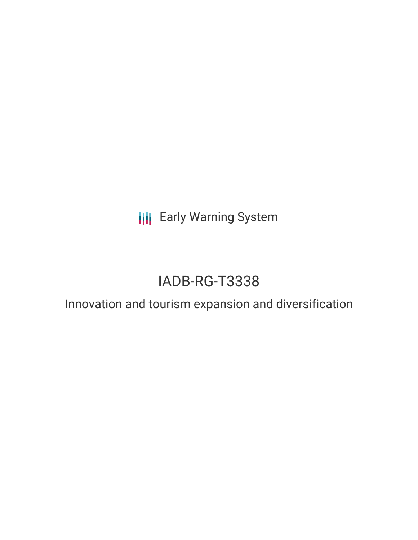**III** Early Warning System

# IADB-RG-T3338

# Innovation and tourism expansion and diversification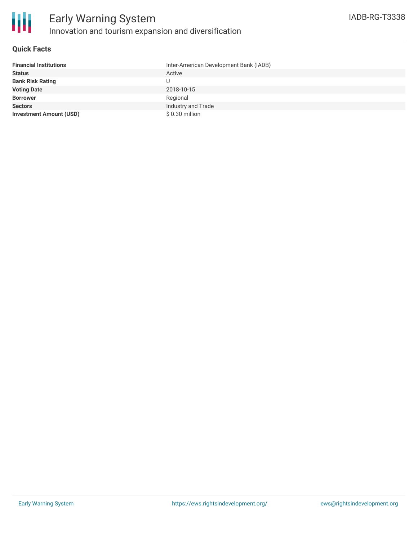

## **Quick Facts**

| <b>Financial Institutions</b>  | Inter-American Development Bank (IADB) |
|--------------------------------|----------------------------------------|
| <b>Status</b>                  | Active                                 |
| <b>Bank Risk Rating</b>        | U                                      |
| <b>Voting Date</b>             | 2018-10-15                             |
| <b>Borrower</b>                | Regional                               |
| <b>Sectors</b>                 | Industry and Trade                     |
| <b>Investment Amount (USD)</b> | \$0.30 million                         |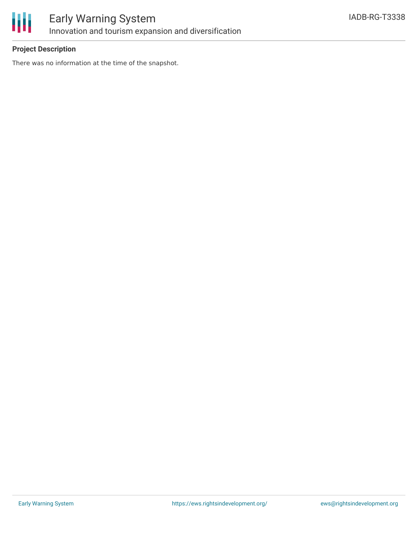

# **Project Description**

There was no information at the time of the snapshot.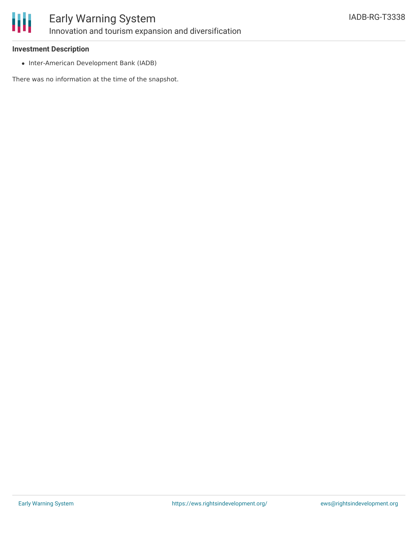

## **Investment Description**

• Inter-American Development Bank (IADB)

There was no information at the time of the snapshot.